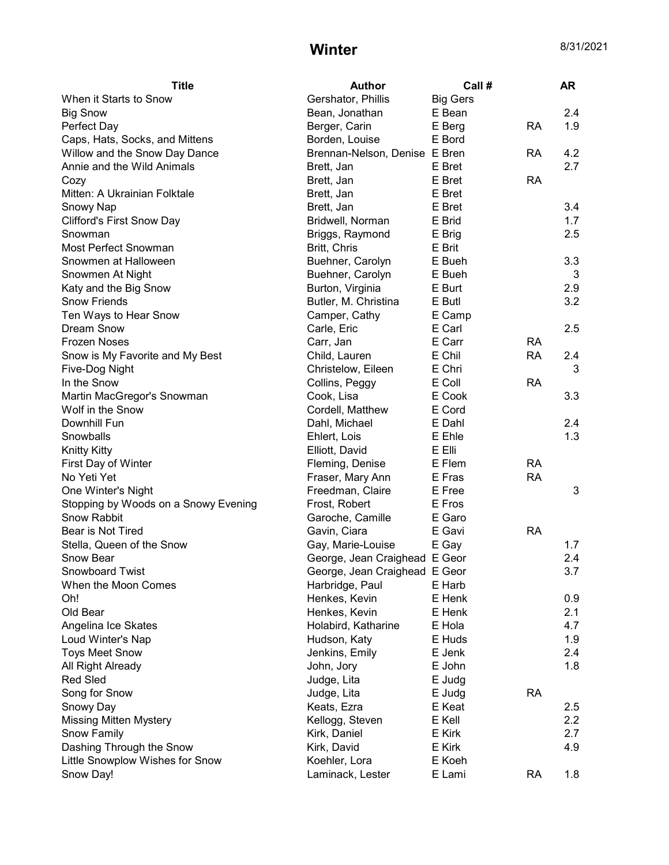## **Winter** 8/31/2021

| <b>Title</b>                         | <b>Author</b>                 | Call #          |           | <b>AR</b> |
|--------------------------------------|-------------------------------|-----------------|-----------|-----------|
| When it Starts to Snow               | Gershator, Phillis            | <b>Big Gers</b> |           |           |
| <b>Big Snow</b>                      | Bean, Jonathan                | E Bean          |           | 2.4       |
| Perfect Day                          | Berger, Carin                 | E Berg          | <b>RA</b> | 1.9       |
| Caps, Hats, Socks, and Mittens       | Borden, Louise                | E Bord          |           |           |
| Willow and the Snow Day Dance        | Brennan-Nelson, Denise E Bren |                 | RA        | 4.2       |
| Annie and the Wild Animals           | Brett, Jan                    | E Bret          |           | 2.7       |
| Cozy                                 | Brett, Jan                    | E Bret          | <b>RA</b> |           |
| Mitten: A Ukrainian Folktale         | Brett, Jan                    | E Bret          |           |           |
| Snowy Nap                            | Brett, Jan                    | E Bret          |           | 3.4       |
| <b>Clifford's First Snow Day</b>     | Bridwell, Norman              | E Brid          |           | 1.7       |
| Snowman                              | Briggs, Raymond               | E Brig          |           | 2.5       |
| <b>Most Perfect Snowman</b>          | Britt, Chris                  | E Brit          |           |           |
| Snowmen at Halloween                 | Buehner, Carolyn              | E Bueh          |           | 3.3       |
| Snowmen At Night                     | Buehner, Carolyn              | E Bueh          |           | 3         |
| Katy and the Big Snow                | Burton, Virginia              | E Burt          |           | 2.9       |
| <b>Snow Friends</b>                  | Butler, M. Christina          | E Butl          |           | 3.2       |
| Ten Ways to Hear Snow                | Camper, Cathy                 | E Camp          |           |           |
| <b>Dream Snow</b>                    | Carle, Eric                   | E Carl          |           | 2.5       |
| <b>Frozen Noses</b>                  | Carr, Jan                     | E Carr          | <b>RA</b> |           |
| Snow is My Favorite and My Best      | Child, Lauren                 | E Chil          | <b>RA</b> | 2.4       |
| Five-Dog Night                       | Christelow, Eileen            | E Chri          |           | 3         |
| In the Snow                          | Collins, Peggy                | E Coll          | <b>RA</b> |           |
| Martin MacGregor's Snowman           | Cook, Lisa                    | E Cook          |           | 3.3       |
| Wolf in the Snow                     | Cordell, Matthew              | E Cord          |           |           |
| Downhill Fun                         | Dahl, Michael                 | E Dahl          |           | 2.4       |
| Snowballs                            | Ehlert, Lois                  | E Ehle          |           | 1.3       |
| <b>Knitty Kitty</b>                  | Elliott, David                | E Elli          |           |           |
| First Day of Winter                  | Fleming, Denise               | E Flem          | <b>RA</b> |           |
| No Yeti Yet                          | Fraser, Mary Ann              | E Fras          | <b>RA</b> |           |
| One Winter's Night                   | Freedman, Claire              | E Free          |           | 3         |
| Stopping by Woods on a Snowy Evening | Frost, Robert                 | E Fros          |           |           |
| Snow Rabbit                          | Garoche, Camille              | E Garo          |           |           |
| Bear is Not Tired                    | Gavin, Ciara                  | E Gavi          | <b>RA</b> |           |
| Stella, Queen of the Snow            |                               | E Gay           |           | 1.7       |
| Snow Bear                            | Gay, Marie-Louise             |                 |           | 2.4       |
| Snowboard Twist                      | George, Jean Craighead E Geor |                 |           |           |
|                                      | George, Jean Craighead E Geor |                 |           | 3.7       |
| When the Moon Comes                  | Harbridge, Paul               | E Harb          |           |           |
| Oh!                                  | Henkes, Kevin                 | E Henk          |           | 0.9       |
| Old Bear                             | Henkes, Kevin                 | E Henk          |           | 2.1       |
| Angelina Ice Skates                  | Holabird, Katharine           | E Hola          |           | 4.7       |
| Loud Winter's Nap                    | Hudson, Katy                  | E Huds          |           | 1.9       |
| <b>Toys Meet Snow</b>                | Jenkins, Emily                | E Jenk          |           | 2.4       |
| All Right Already                    | John, Jory                    | E John          |           | 1.8       |
| <b>Red Sled</b>                      | Judge, Lita                   | E Judg          |           |           |
| Song for Snow                        | Judge, Lita                   | E Judg          | <b>RA</b> |           |
| Snowy Day                            | Keats, Ezra                   | E Keat          |           | 2.5       |
| <b>Missing Mitten Mystery</b>        | Kellogg, Steven               | E Kell          |           | 2.2       |
| Snow Family                          | Kirk, Daniel                  | E Kirk          |           | 2.7       |
| Dashing Through the Snow             | Kirk, David                   | E Kirk          |           | 4.9       |
| Little Snowplow Wishes for Snow      | Koehler, Lora                 | E Koeh          |           |           |
| Snow Day!                            | Laminack, Lester              | E Lami          | <b>RA</b> | 1.8       |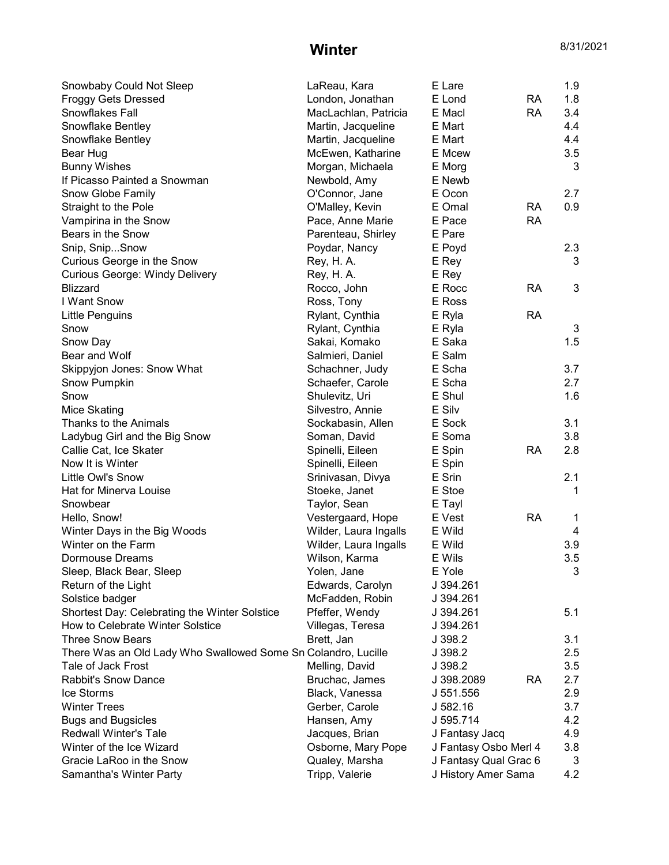## **Winter** 8/31/2021

| Snowbaby Could Not Sleep                                      | LaReau, Kara          | E Lare                |           | 1.9 |
|---------------------------------------------------------------|-----------------------|-----------------------|-----------|-----|
| <b>Froggy Gets Dressed</b>                                    | London, Jonathan      | E Lond                | <b>RA</b> | 1.8 |
| Snowflakes Fall                                               | MacLachlan, Patricia  | E Macl                | <b>RA</b> | 3.4 |
| Snowflake Bentley                                             | Martin, Jacqueline    | E Mart                |           | 4.4 |
| Snowflake Bentley                                             | Martin, Jacqueline    | E Mart                |           | 4.4 |
| Bear Hug                                                      | McEwen, Katharine     | E Mcew                |           | 3.5 |
| <b>Bunny Wishes</b>                                           | Morgan, Michaela      | E Morg                |           | 3   |
| If Picasso Painted a Snowman                                  | Newbold, Amy          | E Newb                |           |     |
| Snow Globe Family                                             | O'Connor, Jane        | E Ocon                |           | 2.7 |
| Straight to the Pole                                          | O'Malley, Kevin       | E Omal                | <b>RA</b> | 0.9 |
| Vampirina in the Snow                                         | Pace, Anne Marie      | E Pace                | <b>RA</b> |     |
| Bears in the Snow                                             | Parenteau, Shirley    | E Pare                |           |     |
| Snip, SnipSnow                                                | Poydar, Nancy         | E Poyd                |           | 2.3 |
| Curious George in the Snow                                    | Rey, H. A.            | E Rey                 |           | 3   |
| <b>Curious George: Windy Delivery</b>                         | Rey, H. A.            | E Rey                 |           |     |
| <b>Blizzard</b>                                               | Rocco, John           | E Rocc                | <b>RA</b> | 3   |
| I Want Snow                                                   | Ross, Tony            | E Ross                |           |     |
| Little Penguins                                               | Rylant, Cynthia       | E Ryla                | <b>RA</b> |     |
| Snow                                                          | Rylant, Cynthia       | E Ryla                |           | 3   |
| Snow Day                                                      | Sakai, Komako         | E Saka                |           | 1.5 |
| Bear and Wolf                                                 | Salmieri, Daniel      | E Salm                |           |     |
| Skippyjon Jones: Snow What                                    | Schachner, Judy       | E Scha                |           | 3.7 |
| Snow Pumpkin                                                  | Schaefer, Carole      | E Scha                |           | 2.7 |
| Snow                                                          | Shulevitz, Uri        | E Shul                |           | 1.6 |
| Mice Skating                                                  | Silvestro, Annie      | E Silv                |           |     |
| Thanks to the Animals                                         | Sockabasin, Allen     | E Sock                |           | 3.1 |
| Ladybug Girl and the Big Snow                                 | Soman, David          | E Soma                |           | 3.8 |
| Callie Cat, Ice Skater                                        | Spinelli, Eileen      | E Spin                | <b>RA</b> | 2.8 |
| Now It is Winter                                              |                       | E Spin                |           |     |
| Little Owl's Snow                                             | Spinelli, Eileen      | E Srin                |           | 2.1 |
| Hat for Minerva Louise                                        | Srinivasan, Divya     | E Stoe                |           | 1   |
|                                                               | Stoeke, Janet         |                       |           |     |
| Snowbear                                                      | Taylor, Sean          | E Tayl                |           |     |
| Hello, Snow!                                                  | Vestergaard, Hope     | E Vest                | <b>RA</b> | 1   |
| Winter Days in the Big Woods                                  | Wilder, Laura Ingalls | E Wild                |           | 4   |
| Winter on the Farm                                            | Wilder, Laura Ingalls | E Wild                |           | 3.9 |
| Dormouse Dreams                                               | Wilson, Karma         | E Wils                |           | 3.5 |
| Sleep, Black Bear, Sleep                                      | Yolen, Jane           | E Yole                |           | 3.  |
| Return of the Light                                           | Edwards, Carolyn      | J 394.261             |           |     |
| Solstice badger                                               | McFadden, Robin       | J 394.261             |           |     |
| Shortest Day: Celebrating the Winter Solstice                 | Pfeffer, Wendy        | J 394.261             |           | 5.1 |
| How to Celebrate Winter Solstice                              | Villegas, Teresa      | J 394.261             |           |     |
| <b>Three Snow Bears</b>                                       | Brett, Jan            | J 398.2               |           | 3.1 |
| There Was an Old Lady Who Swallowed Some Sn Colandro, Lucille |                       | J 398.2               |           | 2.5 |
| Tale of Jack Frost                                            | Melling, David        | J 398.2               |           | 3.5 |
| <b>Rabbit's Snow Dance</b>                                    | Bruchac, James        | J 398.2089            | <b>RA</b> | 2.7 |
| Ice Storms                                                    | Black, Vanessa        | J 551.556             |           | 2.9 |
| <b>Winter Trees</b>                                           | Gerber, Carole        | J 582.16              |           | 3.7 |
| <b>Bugs and Bugsicles</b>                                     | Hansen, Amy           | J 595.714             |           | 4.2 |
| <b>Redwall Winter's Tale</b>                                  | Jacques, Brian        | J Fantasy Jacq        |           | 4.9 |
| Winter of the Ice Wizard                                      | Osborne, Mary Pope    | J Fantasy Osbo Merl 4 |           | 3.8 |
| Gracie LaRoo in the Snow                                      | Qualey, Marsha        | J Fantasy Qual Grac 6 |           | 3   |
| Samantha's Winter Party                                       | Tripp, Valerie        | J History Amer Sama   |           | 4.2 |